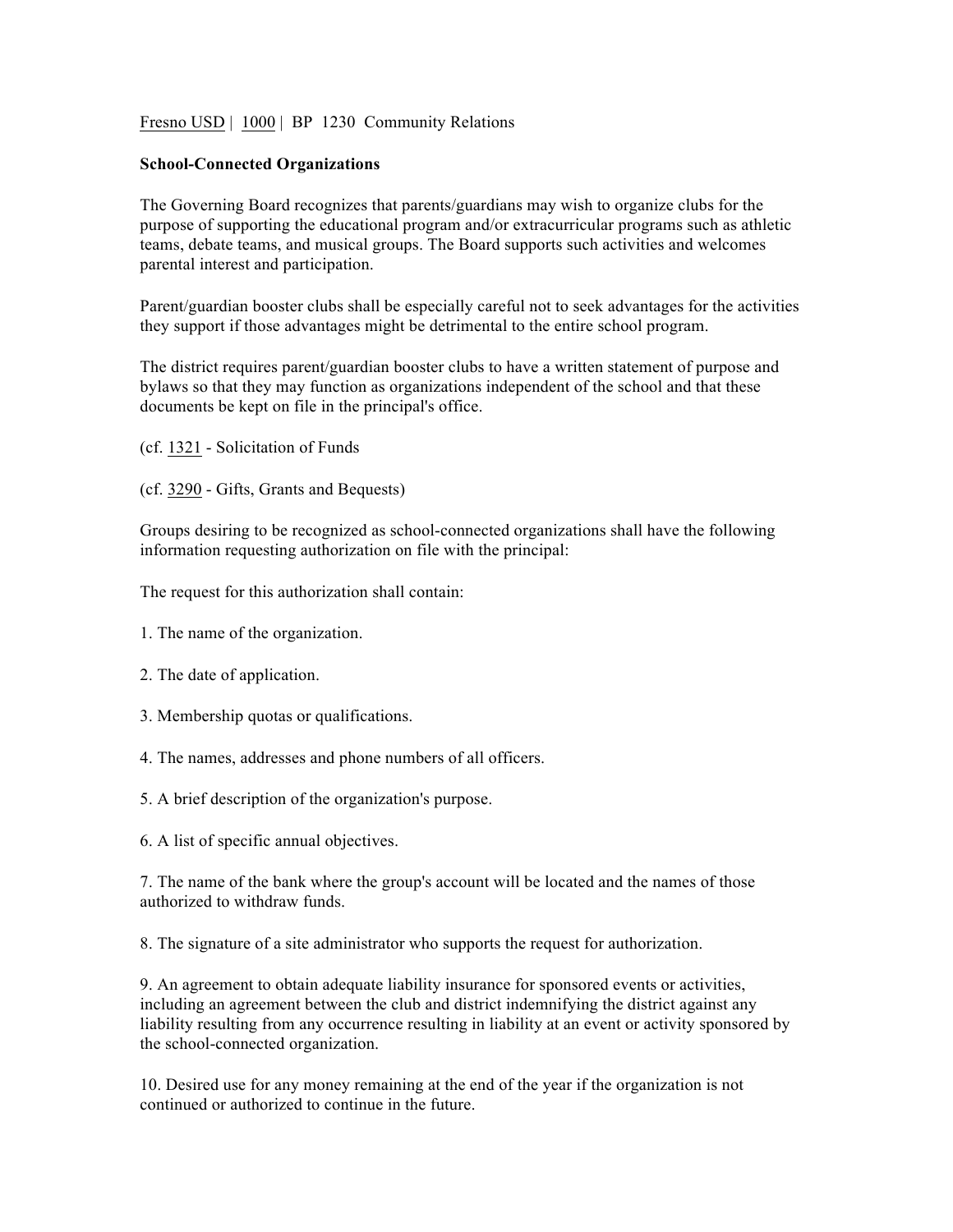Fresno USD | 1000 | BP 1230 Community Relations

## **School-Connected Organizations**

The Governing Board recognizes that parents/guardians may wish to organize clubs for the purpose of supporting the educational program and/or extracurricular programs such as athletic teams, debate teams, and musical groups. The Board supports such activities and welcomes parental interest and participation.

Parent/guardian booster clubs shall be especially careful not to seek advantages for the activities they support if those advantages might be detrimental to the entire school program.

The district requires parent/guardian booster clubs to have a written statement of purpose and bylaws so that they may function as organizations independent of the school and that these documents be kept on file in the principal's office.

- (cf. 1321 Solicitation of Funds
- (cf. 3290 Gifts, Grants and Bequests)

Groups desiring to be recognized as school-connected organizations shall have the following information requesting authorization on file with the principal:

The request for this authorization shall contain:

- 1. The name of the organization.
- 2. The date of application.
- 3. Membership quotas or qualifications.
- 4. The names, addresses and phone numbers of all officers.
- 5. A brief description of the organization's purpose.
- 6. A list of specific annual objectives.

7. The name of the bank where the group's account will be located and the names of those authorized to withdraw funds.

8. The signature of a site administrator who supports the request for authorization.

9. An agreement to obtain adequate liability insurance for sponsored events or activities, including an agreement between the club and district indemnifying the district against any liability resulting from any occurrence resulting in liability at an event or activity sponsored by the school-connected organization.

10. Desired use for any money remaining at the end of the year if the organization is not continued or authorized to continue in the future.